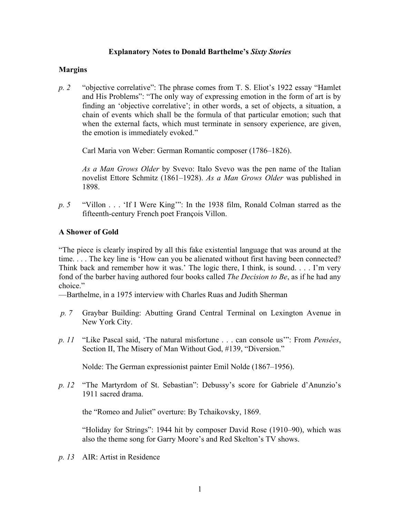# **Explanatory Notes to Donald Barthelme's** *Sixty Stories*

# **Margins**

*p. 2* "objective correlative": The phrase comes from T. S. Eliot's 1922 essay "Hamlet and His Problems": "The only way of expressing emotion in the form of art is by finding an 'objective correlative'; in other words, a set of objects, a situation, a chain of events which shall be the formula of that particular emotion; such that when the external facts, which must terminate in sensory experience, are given, the emotion is immediately evoked."

Carl Maria von Weber: German Romantic composer (1786–1826).

*As a Man Grows Older* by Svevo: Italo Svevo was the pen name of the Italian novelist Ettore Schmitz (1861–1928). *As a Man Grows Older* was published in 1898.

*p. 5* "Villon . . . 'If I Were King'": In the 1938 film, Ronald Colman starred as the fifteenth-century French poet François Villon.

# **A Shower of Gold**

"The piece is clearly inspired by all this fake existential language that was around at the time. . . . The key line is 'How can you be alienated without first having been connected? Think back and remember how it was.' The logic there, I think, is sound. . . . I'm very fond of the barber having authored four books called *The Decision to Be*, as if he had any choice"

—Barthelme, in a 1975 interview with Charles Ruas and Judith Sherman

- *p. 7* Graybar Building: Abutting Grand Central Terminal on Lexington Avenue in New York City.
- *p. 11* "Like Pascal said, 'The natural misfortune . . . can console us'": From *Pensées*, Section II, The Misery of Man Without God, #139, "Diversion."

Nolde: The German expressionist painter Emil Nolde (1867–1956).

*p. 12* "The Martyrdom of St. Sebastian": Debussy's score for Gabriele d'Anunzio's 1911 sacred drama.

the "Romeo and Juliet" overture: By Tchaikovsky, 1869.

"Holiday for Strings": 1944 hit by composer David Rose (1910–90), which was also the theme song for Garry Moore's and Red Skelton's TV shows.

*p. 13* AIR: Artist in Residence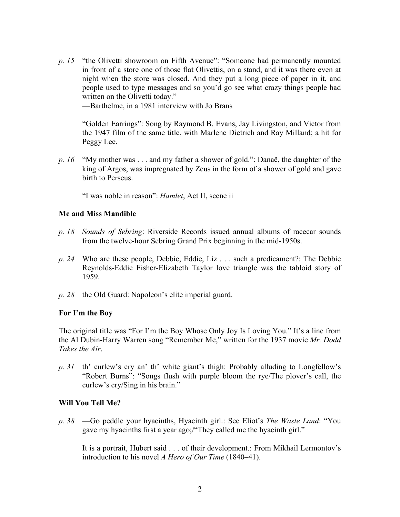*p. 15* "the Olivetti showroom on Fifth Avenue": "Someone had permanently mounted in front of a store one of those flat Olivettis, on a stand, and it was there even at night when the store was closed. And they put a long piece of paper in it, and people used to type messages and so you'd go see what crazy things people had written on the Olivetti today."

—Barthelme, in a 1981 interview with Jo Brans

"Golden Earrings": Song by Raymond B. Evans, Jay Livingston, and Victor from the 1947 film of the same title, with Marlene Dietrich and Ray Milland; a hit for Peggy Lee.

*p. 16* "My mother was . . . and my father a shower of gold.": Danaë, the daughter of the king of Argos, was impregnated by Zeus in the form of a shower of gold and gave birth to Perseus.

"I was noble in reason": *Hamlet*, Act II, scene ii

## **Me and Miss Mandible**

- *p. 18 Sounds of Sebring*: Riverside Records issued annual albums of racecar sounds from the twelve-hour Sebring Grand Prix beginning in the mid-1950s.
- *p. 24* Who are these people, Debbie, Eddie, Liz . . . such a predicament?: The Debbie Reynolds-Eddie Fisher-Elizabeth Taylor love triangle was the tabloid story of 1959.
- *p. 28* the Old Guard: Napoleon's elite imperial guard.

# **For I'm the Boy**

The original title was "For I'm the Boy Whose Only Joy Is Loving You." It's a line from the Al Dubin-Harry Warren song "Remember Me," written for the 1937 movie *Mr. Dodd Takes the Air*.

*p. 31* th' curlew's cry an' th' white giant's thigh: Probably alluding to Longfellow's "Robert Burns": "Songs flush with purple bloom the rye/The plover's call, the curlew's cry/Sing in his brain."

## **Will You Tell Me?**

*p. 38* —Go peddle your hyacinths, Hyacinth girl.: See Eliot's *The Waste Land*: "You gave my hyacinths first a year ago;/"They called me the hyacinth girl."

It is a portrait, Hubert said . . . of their development.: From Mikhail Lermontov's introduction to his novel *A Hero of Our Time* (1840–41).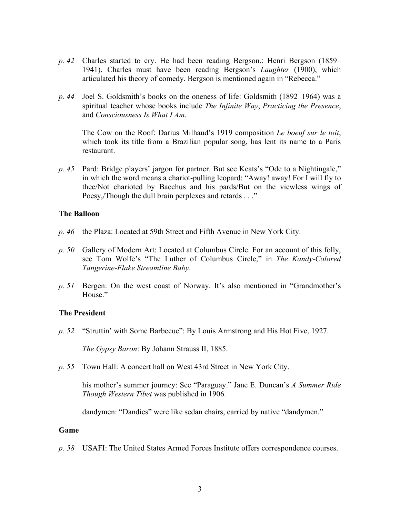- *p. 42* Charles started to cry. He had been reading Bergson.: Henri Bergson (1859– 1941). Charles must have been reading Bergson's *Laughter* (1900), which articulated his theory of comedy. Bergson is mentioned again in "Rebecca."
- *p. 44* Joel S. Goldsmith's books on the oneness of life: Goldsmith (1892–1964) was a spiritual teacher whose books include *The Infinite Way*, *Practicing the Presence*, and *Consciousness Is What I Am*.

The Cow on the Roof: Darius Milhaud's 1919 composition *Le boeuf sur le toit*, which took its title from a Brazilian popular song, has lent its name to a Paris restaurant.

*p. 45* Pard: Bridge players' jargon for partner. But see Keats's "Ode to a Nightingale," in which the word means a chariot-pulling leopard: "Away! away! For I will fly to thee/Not charioted by Bacchus and his pards/But on the viewless wings of Poesy,/Though the dull brain perplexes and retards . . ."

## **The Balloon**

- *p. 46* the Plaza: Located at 59th Street and Fifth Avenue in New York City.
- *p. 50* Gallery of Modern Art: Located at Columbus Circle. For an account of this folly, see Tom Wolfe's "The Luther of Columbus Circle," in *The Kandy-Colored Tangerine-Flake Streamline Baby*.
- *p. 51* Bergen: On the west coast of Norway. It's also mentioned in "Grandmother's House."

## **The President**

*p. 52* "Struttin' with Some Barbecue": By Louis Armstrong and His Hot Five, 1927.

*The Gypsy Baron*: By Johann Strauss II, 1885.

*p. 55* Town Hall: A concert hall on West 43rd Street in New York City.

his mother's summer journey: See "Paraguay." Jane E. Duncan's *A Summer Ride Though Western Tibet* was published in 1906.

dandymen: "Dandies" were like sedan chairs, carried by native "dandymen."

## **Game**

*p. 58* USAFI: The United States Armed Forces Institute offers correspondence courses.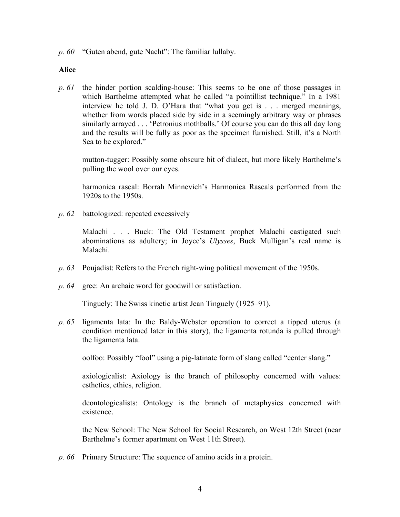*p. 60* "Guten abend, gute Nacht": The familiar lullaby.

### **Alice**

*p. 61* the hinder portion scalding-house: This seems to be one of those passages in which Barthelme attempted what he called "a pointillist technique." In a 1981 interview he told J. D. O'Hara that "what you get is . . . merged meanings, whether from words placed side by side in a seemingly arbitrary way or phrases similarly arrayed . . . 'Petronius mothballs.' Of course you can do this all day long and the results will be fully as poor as the specimen furnished. Still, it's a North Sea to be explored."

mutton-tugger: Possibly some obscure bit of dialect, but more likely Barthelme's pulling the wool over our eyes.

harmonica rascal: Borrah Minnevich's Harmonica Rascals performed from the 1920s to the 1950s.

*p. 62* battologized: repeated excessively

Malachi . . . Buck: The Old Testament prophet Malachi castigated such abominations as adultery; in Joyce's *Ulysses*, Buck Mulligan's real name is Malachi.

- *p. 63* Poujadist: Refers to the French right-wing political movement of the 1950s.
- *p. 64* gree: An archaic word for goodwill or satisfaction.

Tinguely: The Swiss kinetic artist Jean Tinguely (1925–91).

*p. 65* ligamenta lata: In the Baldy-Webster operation to correct a tipped uterus (a condition mentioned later in this story), the ligamenta rotunda is pulled through the ligamenta lata.

oolfoo: Possibly "fool" using a pig-latinate form of slang called "center slang."

axiologicalist: Axiology is the branch of philosophy concerned with values: esthetics, ethics, religion.

deontologicalists: Ontology is the branch of metaphysics concerned with existence.

the New School: The New School for Social Research, on West 12th Street (near Barthelme's former apartment on West 11th Street).

*p. 66* Primary Structure: The sequence of amino acids in a protein.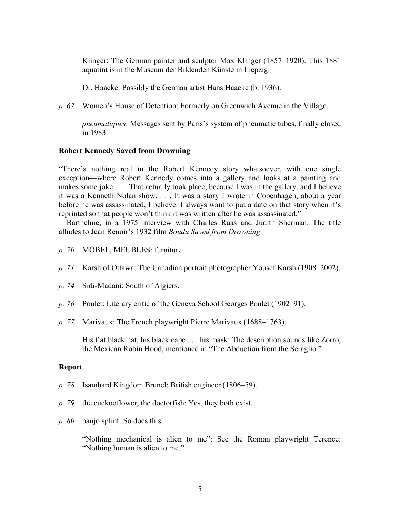Klinger: The German painter and sculptor Max Klinger (1857–1920). This 1881 aquatint is in the Museum der Bildenden Künste in Liepzig.

Dr. Haacke: Possibly the German artist Hans Haacke (b. 1936).

*p. 67* Women's House of Detention: Formerly on Greenwich Avenue in the Village.

*pneumatiques*: Messages sent by Paris's system of pneumatic tubes, finally closed in 1983.

## **Robert Kennedy Saved from Drowning**

"There's nothing real in the Robert Kennedy story whatsoever, with one single exception—where Robert Kennedy comes into a gallery and looks at a painting and makes some joke. . . . That actually took place, because I was in the gallery, and I believe it was a Kenneth Nolan show. . . . It was a story I wrote in Copenhagen, about a year before he was assassinated, I believe. I always want to put a date on that story when it's reprinted so that people won't think it was written after he was assassinated."

—Barthelme, in a 1975 interview with Charles Ruas and Judith Sherman. The title alludes to Jean Renoir's 1932 film *Boudu Saved from Drowning*.

- *p. 70* MÖBEL, MEUBLES: furniture
- *p. 71* Karsh of Ottawa: The Canadian portrait photographer Yousef Karsh (1908–2002).
- *p. 74* Sidi-Madani: South of Algiers.
- *p. 76* Poulet: Literary critic of the Geneva School Georges Poulet (1902–91).
- *p. 77* Marivaux: The French playwright Pierre Marivaux (1688–1763).

His flat black hat, his black cape . . . his mask: The description sounds like Zorro, the Mexican Robin Hood, mentioned in "The Abduction from the Seraglio."

## **Report**

- *p. 78* Isambard Kingdom Brunel: British engineer (1806–59).
- *p. 79* the cuckooflower, the doctorfish: Yes, they both exist.
- *p. 80* banjo splint: So does this.

"Nothing mechanical is alien to me": See the Roman playwright Terence: "Nothing human is alien to me."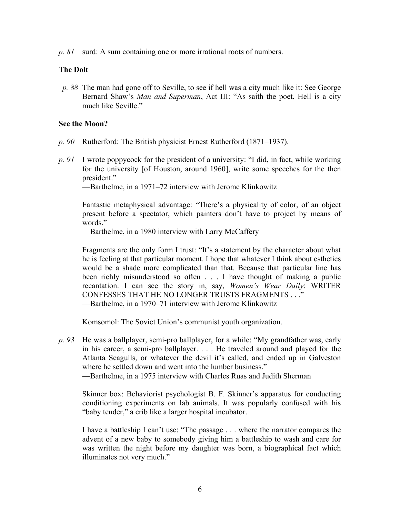*p. 81* surd: A sum containing one or more irrational roots of numbers.

## **The Dolt**

*p. 88* The man had gone off to Seville, to see if hell was a city much like it: See George Bernard Shaw's *Man and Superman*, Act III: "As saith the poet, Hell is a city much like Seville."

## **See the Moon?**

- *p. 90* Rutherford: The British physicist Ernest Rutherford (1871–1937).
- *p. 91* I wrote poppycock for the president of a university: "I did, in fact, while working for the university [of Houston, around 1960], write some speeches for the then president."

—Barthelme, in a 1971–72 interview with Jerome Klinkowitz

Fantastic metaphysical advantage: "There's a physicality of color, of an object present before a spectator, which painters don't have to project by means of words."

—Barthelme, in a 1980 interview with Larry McCaffery

Fragments are the only form I trust: "It's a statement by the character about what he is feeling at that particular moment. I hope that whatever I think about esthetics would be a shade more complicated than that. Because that particular line has been richly misunderstood so often . . . I have thought of making a public recantation. I can see the story in, say, *Women's Wear Daily*: WRITER CONFESSES THAT HE NO LONGER TRUSTS FRAGMENTS . . ." —Barthelme, in a 1970–71 interview with Jerome Klinkowitz

Komsomol: The Soviet Union's communist youth organization.

*p. 93* He was a ballplayer, semi-pro ballplayer, for a while: "My grandfather was, early in his career, a semi-pro ballplayer. . . . He traveled around and played for the Atlanta Seagulls, or whatever the devil it's called, and ended up in Galveston where he settled down and went into the lumber business."

—Barthelme, in a 1975 interview with Charles Ruas and Judith Sherman

Skinner box: Behaviorist psychologist B. F. Skinner's apparatus for conducting conditioning experiments on lab animals. It was popularly confused with his "baby tender," a crib like a larger hospital incubator.

I have a battleship I can't use: "The passage . . . where the narrator compares the advent of a new baby to somebody giving him a battleship to wash and care for was written the night before my daughter was born, a biographical fact which illuminates not very much."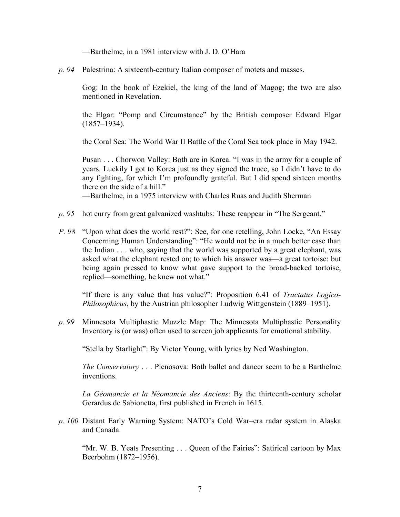—Barthelme, in a 1981 interview with J. D. O'Hara

*p. 94* Palestrina: A sixteenth-century Italian composer of motets and masses.

Gog: In the book of Ezekiel, the king of the land of Magog; the two are also mentioned in Revelation.

the Elgar: "Pomp and Circumstance" by the British composer Edward Elgar (1857–1934).

the Coral Sea: The World War II Battle of the Coral Sea took place in May 1942.

Pusan . . . Chorwon Valley: Both are in Korea. "I was in the army for a couple of years. Luckily I got to Korea just as they signed the truce, so I didn't have to do any fighting, for which I'm profoundly grateful. But I did spend sixteen months there on the side of a hill."

—Barthelme, in a 1975 interview with Charles Ruas and Judith Sherman

- *p. 95* hot curry from great galvanized washtubs: These reappear in "The Sergeant."
- *P. 98* "Upon what does the world rest?": See, for one retelling, John Locke, "An Essay Concerning Human Understanding": "He would not be in a much better case than the Indian . . . who, saying that the world was supported by a great elephant, was asked what the elephant rested on; to which his answer was—a great tortoise: but being again pressed to know what gave support to the broad-backed tortoise, replied—something, he knew not what."

"If there is any value that has value?": Proposition 6.41 of *Tractatus Logico-Philosophicus*, by the Austrian philosopher Ludwig Wittgenstein (1889–1951).

*p. 99* Minnesota Multiphastic Muzzle Map: The Minnesota Multiphastic Personality Inventory is (or was) often used to screen job applicants for emotional stability.

"Stella by Starlight": By Victor Young, with lyrics by Ned Washington.

*The Conservatory* . . . Plenosova: Both ballet and dancer seem to be a Barthelme inventions.

*La Géomancie et la Néomancie des Anciens*: By the thirteenth-century scholar Gerardus de Sabionetta, first published in French in 1615.

*p. 100* Distant Early Warning System: NATO's Cold War–era radar system in Alaska and Canada.

"Mr. W. B. Yeats Presenting . . . Queen of the Fairies": Satirical cartoon by Max Beerbohm (1872–1956).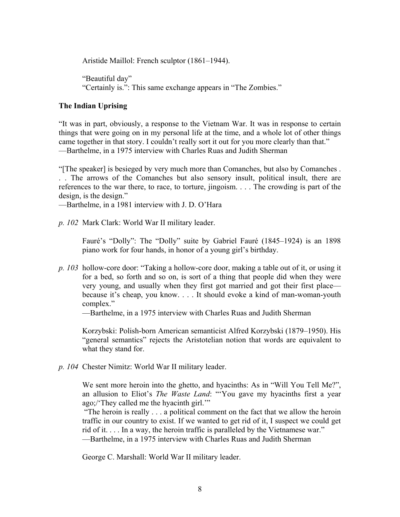Aristide Maillol: French sculptor (1861–1944).

"Beautiful day" "Certainly is.": This same exchange appears in "The Zombies."

# **The Indian Uprising**

"It was in part, obviously, a response to the Vietnam War. It was in response to certain things that were going on in my personal life at the time, and a whole lot of other things came together in that story. I couldn't really sort it out for you more clearly than that." —Barthelme, in a 1975 interview with Charles Ruas and Judith Sherman

"[The speaker] is besieged by very much more than Comanches, but also by Comanches . . . The arrows of the Comanches but also sensory insult, political insult, there are references to the war there, to race, to torture, jingoism. . . . The crowding is part of the design, is the design."

—Barthelme, in a 1981 interview with J. D. O'Hara

*p. 102* Mark Clark: World War II military leader.

Fauré's "Dolly": The "Dolly" suite by Gabriel Fauré (1845–1924) is an 1898 piano work for four hands, in honor of a young girl's birthday.

*p. 103* hollow-core door: "Taking a hollow-core door, making a table out of it, or using it for a bed, so forth and so on, is sort of a thing that people did when they were very young, and usually when they first got married and got their first place because it's cheap, you know. . . . It should evoke a kind of man-woman-youth complex."

—Barthelme, in a 1975 interview with Charles Ruas and Judith Sherman

Korzybski: Polish-born American semanticist Alfred Korzybski (1879–1950). His "general semantics" rejects the Aristotelian notion that words are equivalent to what they stand for.

*p. 104* Chester Nimitz: World War II military leader.

We sent more heroin into the ghetto, and hyacinths: As in "Will You Tell Me?", an allusion to Eliot's *The Waste Land*: "'You gave my hyacinths first a year ago;/'They called me the hyacinth girl.'"

"The heroin is really . . . a political comment on the fact that we allow the heroin traffic in our country to exist. If we wanted to get rid of it, I suspect we could get rid of it. . . . In a way, the heroin traffic is paralleled by the Vietnamese war." —Barthelme, in a 1975 interview with Charles Ruas and Judith Sherman

George C. Marshall: World War II military leader.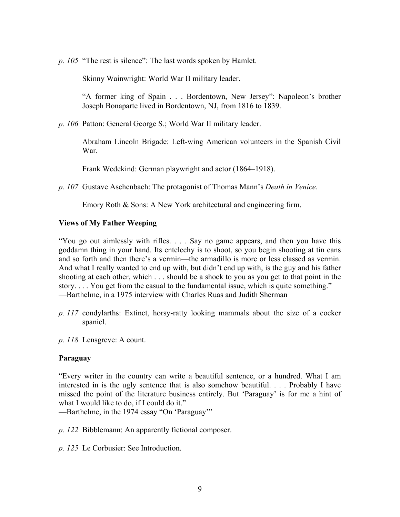*p. 105* "The rest is silence": The last words spoken by Hamlet.

Skinny Wainwright: World War II military leader.

"A former king of Spain . . . Bordentown, New Jersey": Napoleon's brother Joseph Bonaparte lived in Bordentown, NJ, from 1816 to 1839.

*p. 106* Patton: General George S.; World War II military leader.

Abraham Lincoln Brigade: Left-wing American volunteers in the Spanish Civil War.

Frank Wedekind: German playwright and actor (1864–1918).

*p. 107* Gustave Aschenbach: The protagonist of Thomas Mann's *Death in Venice*.

Emory Roth & Sons: A New York architectural and engineering firm.

## **Views of My Father Weeping**

"You go out aimlessly with rifles. . . . Say no game appears, and then you have this goddamn thing in your hand. Its entelechy is to shoot, so you begin shooting at tin cans and so forth and then there's a vermin—the armadillo is more or less classed as vermin. And what I really wanted to end up with, but didn't end up with, is the guy and his father shooting at each other, which . . . should be a shock to you as you get to that point in the story. . . . You get from the casual to the fundamental issue, which is quite something." —Barthelme, in a 1975 interview with Charles Ruas and Judith Sherman

*p. 117* condylarths: Extinct, horsy-ratty looking mammals about the size of a cocker spaniel.

*p. 118* Lensgreve: A count.

## **Paraguay**

"Every writer in the country can write a beautiful sentence, or a hundred. What I am interested in is the ugly sentence that is also somehow beautiful. . . . Probably I have missed the point of the literature business entirely. But 'Paraguay' is for me a hint of what I would like to do, if I could do it."

—Barthelme, in the 1974 essay "On 'Paraguay'"

*p. 122* Bibblemann: An apparently fictional composer.

*p. 125* Le Corbusier: See Introduction.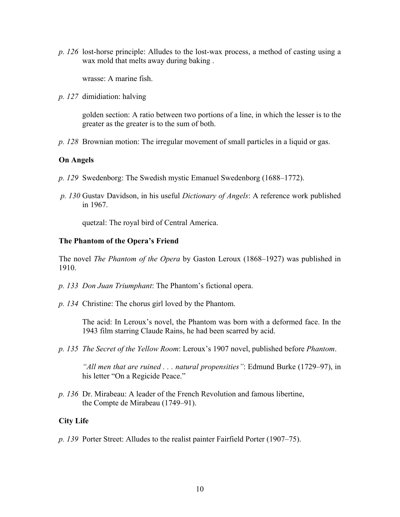*p. 126* lost-horse principle: Alludes to the lost-wax process, a method of casting using a wax mold that melts away during baking .

wrasse: A marine fish.

*p. 127* dimidiation: halving

golden section: A ratio between two portions of a line, in which the lesser is to the greater as the greater is to the sum of both.

*p. 128* Brownian motion: The irregular movement of small particles in a liquid or gas.

## **On Angels**

- *p. 129* Swedenborg: The Swedish mystic Emanuel Swedenborg (1688–1772).
- *p. 130* Gustav Davidson, in his useful *Dictionary of Angels*: A reference work published in 1967.

quetzal: The royal bird of Central America.

## **The Phantom of the Opera's Friend**

The novel *The Phantom of the Opera* by Gaston Leroux (1868–1927) was published in 1910.

- *p. 133 Don Juan Triumphant*: The Phantom's fictional opera.
- *p. 134* Christine: The chorus girl loved by the Phantom.

The acid: In Leroux's novel, the Phantom was born with a deformed face. In the 1943 film starring Claude Rains, he had been scarred by acid.

*p. 135 The Secret of the Yellow Room*: Leroux's 1907 novel, published before *Phantom*.

*"All men that are ruined . . . natural propensities"*: Edmund Burke (1729–97), in his letter "On a Regicide Peace."

*p. 136* Dr. Mirabeau: A leader of the French Revolution and famous libertine, the Compte de Mirabeau (1749–91).

## **City Life**

*p. 139* Porter Street: Alludes to the realist painter Fairfield Porter (1907–75).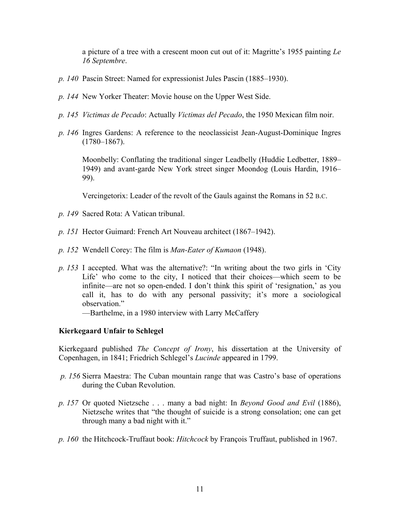a picture of a tree with a crescent moon cut out of it: Magritte's 1955 painting *Le 16 Septembre*.

- *p. 140* Pascin Street: Named for expressionist Jules Pascin (1885–1930).
- *p. 144* New Yorker Theater: Movie house on the Upper West Side.
- *p. 145 Victimas de Pecado*: Actually *Victimas del Pecado*, the 1950 Mexican film noir.
- *p. 146* Ingres Gardens: A reference to the neoclassicist Jean-August-Dominique Ingres  $(1780 - 1867)$ .

Moonbelly: Conflating the traditional singer Leadbelly (Huddie Ledbetter, 1889– 1949) and avant-garde New York street singer Moondog (Louis Hardin, 1916– 99).

Vercingetorix: Leader of the revolt of the Gauls against the Romans in 52 B.C.

- *p. 149* Sacred Rota: A Vatican tribunal.
- *p. 151* Hector Guimard: French Art Nouveau architect (1867–1942).
- *p. 152* Wendell Corey: The film is *Man-Eater of Kumaon* (1948).
- *p. 153* I accepted. What was the alternative?: "In writing about the two girls in 'City Life' who come to the city, I noticed that their choices—which seem to be infinite—are not so open-ended. I don't think this spirit of 'resignation,' as you call it, has to do with any personal passivity; it's more a sociological observation."

—Barthelme, in a 1980 interview with Larry McCaffery

## **Kierkegaard Unfair to Schlegel**

Kierkegaard published *The Concept of Irony*, his dissertation at the University of Copenhagen, in 1841; Friedrich Schlegel's *Lucinde* appeared in 1799.

- *p. 156* Sierra Maestra: The Cuban mountain range that was Castro's base of operations during the Cuban Revolution.
- *p. 157* Or quoted Nietzsche . . . many a bad night: In *Beyond Good and Evil* (1886), Nietzsche writes that "the thought of suicide is a strong consolation; one can get through many a bad night with it."
- *p. 160* the Hitchcock-Truffaut book: *Hitchcock* by François Truffaut, published in 1967.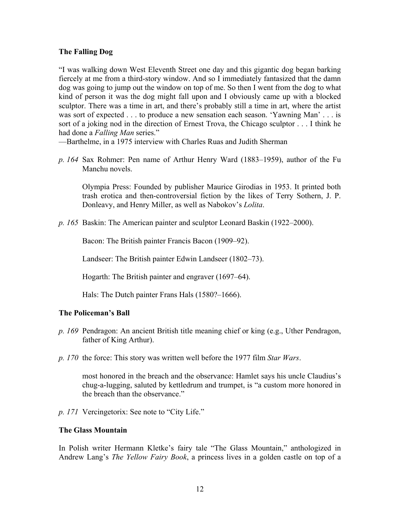# **The Falling Dog**

"I was walking down West Eleventh Street one day and this gigantic dog began barking fiercely at me from a third-story window. And so I immediately fantasized that the damn dog was going to jump out the window on top of me. So then I went from the dog to what kind of person it was the dog might fall upon and I obviously came up with a blocked sculptor. There was a time in art, and there's probably still a time in art, where the artist was sort of expected . . . to produce a new sensation each season. 'Yawning Man' . . . is sort of a joking nod in the direction of Ernest Trova, the Chicago sculptor . . . I think he had done a *Falling Man* series."

—Barthelme, in a 1975 interview with Charles Ruas and Judith Sherman

*p. 164* Sax Rohmer: Pen name of Arthur Henry Ward (1883–1959), author of the Fu Manchu novels.

Olympia Press: Founded by publisher Maurice Girodias in 1953. It printed both trash erotica and then-controversial fiction by the likes of Terry Sothern, J. P. Donleavy, and Henry Miller, as well as Nabokov's *Lolita*.

*p. 165* Baskin: The American painter and sculptor Leonard Baskin (1922–2000).

Bacon: The British painter Francis Bacon (1909–92).

Landseer: The British painter Edwin Landseer (1802–73).

Hogarth: The British painter and engraver (1697–64).

Hals: The Dutch painter Frans Hals (1580?–1666).

## **The Policeman's Ball**

- *p. 169* Pendragon: An ancient British title meaning chief or king (e.g., Uther Pendragon, father of King Arthur).
- *p. 170* the force: This story was written well before the 1977 film *Star Wars*.

most honored in the breach and the observance: Hamlet says his uncle Claudius's chug-a-lugging, saluted by kettledrum and trumpet, is "a custom more honored in the breach than the observance."

*p. 171* Vercingetorix: See note to "City Life."

## **The Glass Mountain**

In Polish writer Hermann Kletke's fairy tale "The Glass Mountain," anthologized in Andrew Lang's *The Yellow Fairy Book*, a princess lives in a golden castle on top of a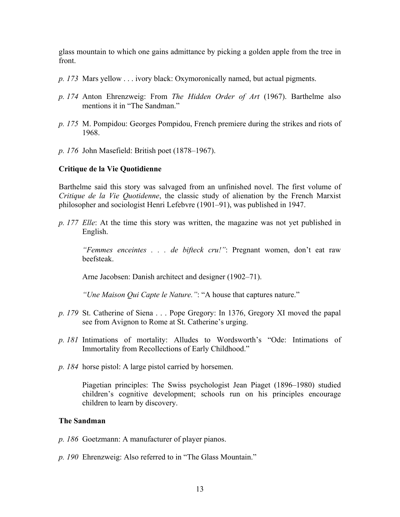glass mountain to which one gains admittance by picking a golden apple from the tree in front.

- *p. 173* Mars yellow . . . ivory black: Oxymoronically named, but actual pigments.
- *p. 174* Anton Ehrenzweig: From *The Hidden Order of Art* (1967). Barthelme also mentions it in "The Sandman"
- *p. 175* M. Pompidou: Georges Pompidou, French premiere during the strikes and riots of 1968.
- *p. 176* John Masefield: British poet (1878–1967).

#### **Critique de la Vie Quotidienne**

Barthelme said this story was salvaged from an unfinished novel. The first volume of *Critique de la Vie Quotidenne*, the classic study of alienation by the French Marxist philosopher and sociologist Henri Lefebvre (1901–91), was published in 1947.

*p. 177 Elle*: At the time this story was written, the magazine was not yet published in English.

*"Femmes enceintes . . . de bifteck cru!"*: Pregnant women, don't eat raw beefsteak.

Arne Jacobsen: Danish architect and designer (1902–71).

*"Une Maison Qui Capte le Nature."*: "A house that captures nature."

- *p. 179* St. Catherine of Siena . . . Pope Gregory: In 1376, Gregory XI moved the papal see from Avignon to Rome at St. Catherine's urging.
- *p. 181* Intimations of mortality: Alludes to Wordsworth's "Ode: Intimations of Immortality from Recollections of Early Childhood."
- *p. 184* horse pistol: A large pistol carried by horsemen.

Piagetian principles: The Swiss psychologist Jean Piaget (1896–1980) studied children's cognitive development; schools run on his principles encourage children to learn by discovery.

#### **The Sandman**

- *p. 186* Goetzmann: A manufacturer of player pianos.
- *p. 190* Ehrenzweig: Also referred to in "The Glass Mountain."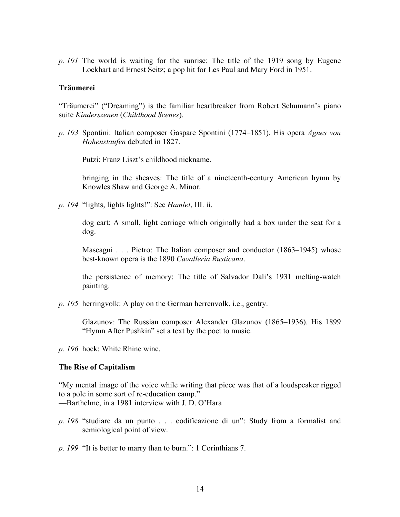*p. 191* The world is waiting for the sunrise: The title of the 1919 song by Eugene Lockhart and Ernest Seitz; a pop hit for Les Paul and Mary Ford in 1951.

### **Träumerei**

"Träumerei" ("Dreaming") is the familiar heartbreaker from Robert Schumann's piano suite *Kinderszenen* (*Childhood Scenes*).

*p. 193* Spontini: Italian composer Gaspare Spontini (1774–1851). His opera *Agnes von Hohenstaufen* debuted in 1827.

Putzi: Franz Liszt's childhood nickname.

bringing in the sheaves: The title of a nineteenth-century American hymn by Knowles Shaw and George A. Minor.

*p. 194* "lights, lights lights!": See *Hamlet*, III. ii.

dog cart: A small, light carriage which originally had a box under the seat for a dog.

Mascagni . . . Pietro: The Italian composer and conductor (1863–1945) whose best-known opera is the 1890 *Cavalleria Rusticana*.

the persistence of memory: The title of Salvador Dali's 1931 melting-watch painting.

*p. 195* herringvolk: A play on the German herrenvolk, i.e., gentry.

Glazunov: The Russian composer Alexander Glazunov (1865–1936). His 1899 "Hymn After Pushkin" set a text by the poet to music.

*p. 196* hock: White Rhine wine.

#### **The Rise of Capitalism**

"My mental image of the voice while writing that piece was that of a loudspeaker rigged to a pole in some sort of re-education camp."

—Barthelme, in a 1981 interview with J. D. O'Hara

*p. 198* "studiare da un punto . . . codificazione di un": Study from a formalist and semiological point of view.

*p. 199* "It is better to marry than to burn.": 1 Corinthians 7.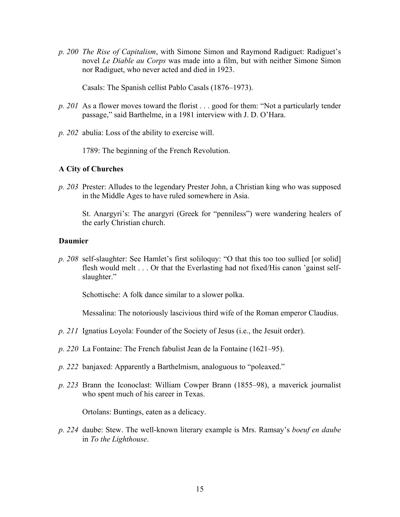*p. 200 The Rise of Capitalism*, with Simone Simon and Raymond Radiguet: Radiguet's novel *Le Diable au Corps* was made into a film, but with neither Simone Simon nor Radiguet, who never acted and died in 1923.

Casals: The Spanish cellist Pablo Casals (1876–1973).

- *p. 201* As a flower moves toward the florist . . . good for them: "Not a particularly tender passage," said Barthelme, in a 1981 interview with J. D. O'Hara.
- *p. 202* abulia: Loss of the ability to exercise will.

1789: The beginning of the French Revolution.

## **A City of Churches**

*p. 203* Prester: Alludes to the legendary Prester John, a Christian king who was supposed in the Middle Ages to have ruled somewhere in Asia.

St. Anargyri's: The anargyri (Greek for "penniless") were wandering healers of the early Christian church.

## **Daumier**

*p. 208* self-slaughter: See Hamlet's first soliloquy: "O that this too too sullied [or solid] flesh would melt . . . Or that the Everlasting had not fixed/His canon 'gainst selfslaughter."

Schottische: A folk dance similar to a slower polka.

Messalina: The notoriously lascivious third wife of the Roman emperor Claudius.

- *p. 211* Ignatius Loyola: Founder of the Society of Jesus (i.e., the Jesuit order).
- *p. 220* La Fontaine: The French fabulist Jean de la Fontaine (1621–95).
- *p. 222* banjaxed: Apparently a Barthelmism, analoguous to "poleaxed."
- *p. 223* Brann the Iconoclast: William Cowper Brann (1855–98), a maverick journalist who spent much of his career in Texas.

Ortolans: Buntings, eaten as a delicacy.

*p. 224* daube: Stew. The well-known literary example is Mrs. Ramsay's *boeuf en daube* in *To the Lighthouse*.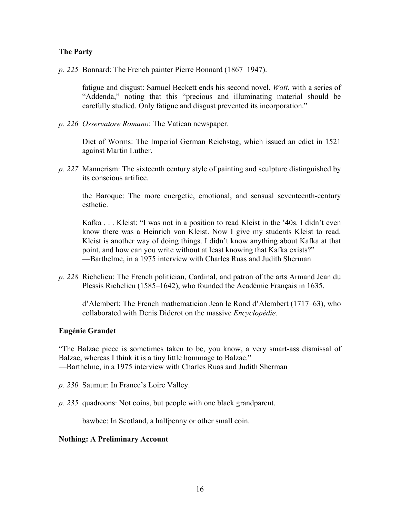## **The Party**

*p. 225* Bonnard: The French painter Pierre Bonnard (1867–1947).

fatigue and disgust: Samuel Beckett ends his second novel, *Watt*, with a series of "Addenda," noting that this "precious and illuminating material should be carefully studied. Only fatigue and disgust prevented its incorporation."

*p. 226 Osservatore Romano*: The Vatican newspaper.

Diet of Worms: The Imperial German Reichstag, which issued an edict in 1521 against Martin Luther.

*p. 227* Mannerism: The sixteenth century style of painting and sculpture distinguished by its conscious artifice.

the Baroque: The more energetic, emotional, and sensual seventeenth-century esthetic.

Kafka . . . Kleist: "I was not in a position to read Kleist in the '40s. I didn't even know there was a Heinrich von Kleist. Now I give my students Kleist to read. Kleist is another way of doing things. I didn't know anything about Kafka at that point, and how can you write without at least knowing that Kafka exists?" —Barthelme, in a 1975 interview with Charles Ruas and Judith Sherman

*p. 228* Richelieu: The French politician, Cardinal, and patron of the arts Armand Jean du Plessis Richelieu (1585–1642), who founded the Académie Français in 1635.

d'Alembert: The French mathematician Jean le Rond d'Alembert (1717–63), who collaborated with Denis Diderot on the massive *Encyclopédie*.

## **Eugénie Grandet**

"The Balzac piece is sometimes taken to be, you know, a very smart-ass dismissal of Balzac, whereas I think it is a tiny little hommage to Balzac." —Barthelme, in a 1975 interview with Charles Ruas and Judith Sherman

- *p. 230* Saumur: In France's Loire Valley.
- *p. 235* quadroons: Not coins, but people with one black grandparent.

bawbee: In Scotland, a halfpenny or other small coin.

#### **Nothing: A Preliminary Account**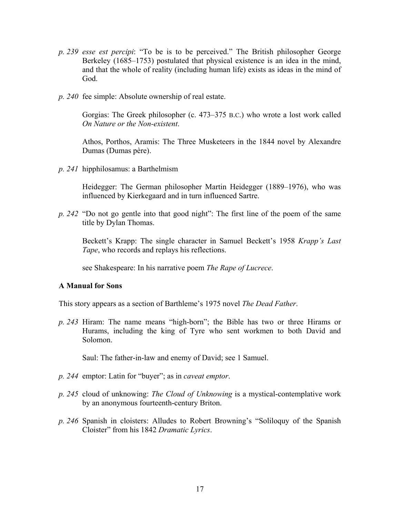- *p. 239 esse est percipi*: "To be is to be perceived." The British philosopher George Berkeley (1685–1753) postulated that physical existence is an idea in the mind, and that the whole of reality (including human life) exists as ideas in the mind of God.
- *p. 240* fee simple: Absolute ownership of real estate.

Gorgias: The Greek philosopher (c. 473–375 B.C.) who wrote a lost work called *On Nature or the Non-existent*.

Athos, Porthos, Aramis: The Three Musketeers in the 1844 novel by Alexandre Dumas (Dumas père).

*p. 241* hipphilosamus: a Barthelmism

Heidegger: The German philosopher Martin Heidegger (1889–1976), who was influenced by Kierkegaard and in turn influenced Sartre.

*p. 242* "Do not go gentle into that good night": The first line of the poem of the same title by Dylan Thomas.

Beckett's Krapp: The single character in Samuel Beckett's 1958 *Krapp's Last Tape*, who records and replays his reflections.

see Shakespeare: In his narrative poem *The Rape of Lucrece*.

## **A Manual for Sons**

This story appears as a section of Barthleme's 1975 novel *The Dead Father*.

*p. 243* Hiram: The name means "high-born"; the Bible has two or three Hirams or Hurams, including the king of Tyre who sent workmen to both David and Solomon.

Saul: The father-in-law and enemy of David; see 1 Samuel.

- *p. 244* emptor: Latin for "buyer"; as in *caveat emptor*.
- *p. 245* cloud of unknowing: *The Cloud of Unknowing* is a mystical-contemplative work by an anonymous fourteenth-century Briton.
- *p. 246* Spanish in cloisters: Alludes to Robert Browning's "Soliloquy of the Spanish Cloister" from his 1842 *Dramatic Lyrics*.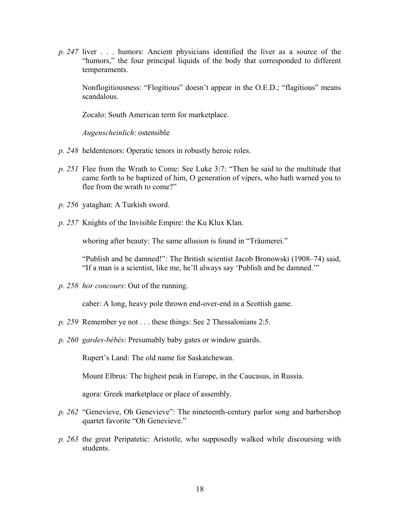*p. 247* liver . . . humors: Ancient physicians identified the liver as a source of the "humors," the four principal liquids of the body that corresponded to different temperaments.

Nonflogitiousness: "Flogitious" doesn't appear in the O.E.D.; "flagitious" means scandalous.

Zocalo: South American term for marketplace.

*Augenscheinlich*: ostensible

- *p. 248* heldentenors: Operatic tenors in robustly heroic roles.
- *p. 251* Flee from the Wrath to Come: See Luke 3:7: "Then he said to the multitude that came forth to be baptized of him, O generation of vipers, who hath warned you to flee from the wrath to come?"
- *p. 256* yataghan: A Turkish sword.
- *p. 257* Knights of the Invisible Empire: the Ku Klux Klan.

whoring after beauty: The same allusion is found in "Träumerei."

"Publish and be damned!": The British scientist Jacob Bronowski (1908–74) said, "If a man is a scientist, like me, he'll always say 'Publish and be damned.'"

*p. 258 hor concours*: Out of the running.

caber: A long, heavy pole thrown end-over-end in a Scottish game.

- *p. 259* Remember ye not . . . these things: See 2 Thessalonians 2:5.
- *p. 260 gardes-bébés*: Presumably baby gates or window guards.

Rupert's Land: The old name for Saskatchewan.

Mount Elbrus: The highest peak in Europe, in the Caucasus, in Russia.

agora: Greek marketplace or place of assembly.

- *p. 262* "Genevieve, Oh Genevieve": The nineteenth-century parlor song and barbershop quartet favorite "Oh Genevieve."
- *p. 263* the great Peripatetic: Aristotle, who supposedly walked while discoursing with students.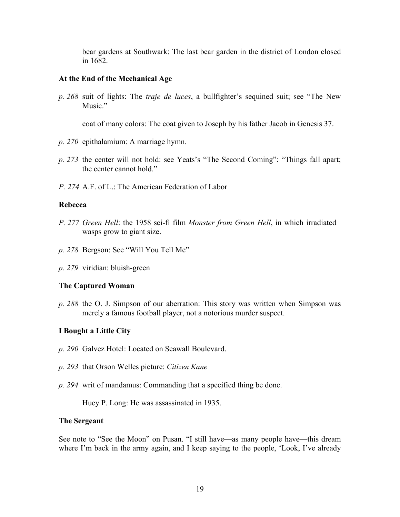bear gardens at Southwark: The last bear garden in the district of London closed in 1682.

## **At the End of the Mechanical Age**

*p. 268* suit of lights: The *traje de luces*, a bullfighter's sequined suit; see "The New Music."

coat of many colors: The coat given to Joseph by his father Jacob in Genesis 37.

- *p. 270* epithalamium: A marriage hymn.
- *p. 273* the center will not hold: see Yeats's "The Second Coming": "Things fall apart; the center cannot hold."
- *P. 274* A.F. of L.: The American Federation of Labor

### **Rebecca**

- *P. 277 Green Hell*: the 1958 sci-fi film *Monster from Green Hell*, in which irradiated wasps grow to giant size.
- *p. 278* Bergson: See "Will You Tell Me"
- *p. 279* viridian: bluish-green

## **The Captured Woman**

*p. 288* the O. J. Simpson of our aberration: This story was written when Simpson was merely a famous football player, not a notorious murder suspect.

## **I Bought a Little City**

- *p. 290* Galvez Hotel: Located on Seawall Boulevard.
- *p. 293* that Orson Welles picture: *Citizen Kane*
- *p. 294* writ of mandamus: Commanding that a specified thing be done.

Huey P. Long: He was assassinated in 1935.

### **The Sergeant**

See note to "See the Moon" on Pusan. "I still have—as many people have—this dream where I'm back in the army again, and I keep saying to the people, 'Look, I've already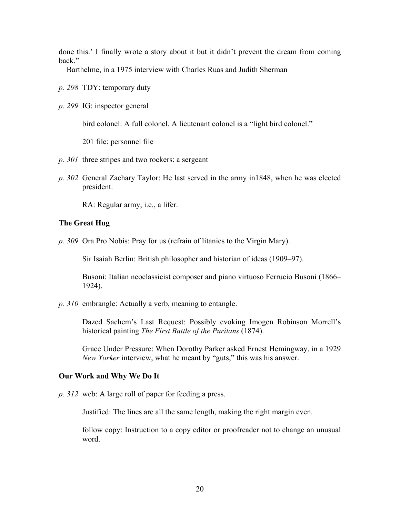done this.' I finally wrote a story about it but it didn't prevent the dream from coming back."

—Barthelme, in a 1975 interview with Charles Ruas and Judith Sherman

- *p. 298* TDY: temporary duty
- *p. 299* IG: inspector general

bird colonel: A full colonel. A lieutenant colonel is a "light bird colonel."

201 file: personnel file

- *p. 301* three stripes and two rockers: a sergeant
- *p. 302* General Zachary Taylor: He last served in the army in1848, when he was elected president.

RA: Regular army, i.e., a lifer.

#### **The Great Hug**

*p. 309* Ora Pro Nobis: Pray for us (refrain of litanies to the Virgin Mary).

Sir Isaiah Berlin: British philosopher and historian of ideas (1909–97).

Busoni: Italian neoclassicist composer and piano virtuoso Ferrucio Busoni (1866– 1924).

*p. 310* embrangle: Actually a verb, meaning to entangle.

Dazed Sachem's Last Request: Possibly evoking Imogen Robinson Morrell's historical painting *The First Battle of the Puritans* (1874).

Grace Under Pressure: When Dorothy Parker asked Ernest Hemingway, in a 1929 *New Yorker* interview, what he meant by "guts," this was his answer.

#### **Our Work and Why We Do It**

*p. 312* web: A large roll of paper for feeding a press.

Justified: The lines are all the same length, making the right margin even.

follow copy: Instruction to a copy editor or proofreader not to change an unusual word.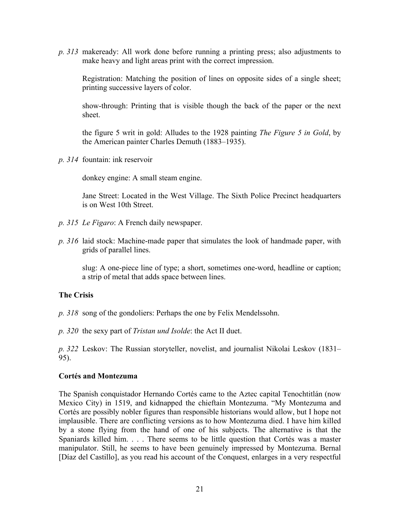*p. 313* makeready: All work done before running a printing press; also adjustments to make heavy and light areas print with the correct impression.

Registration: Matching the position of lines on opposite sides of a single sheet; printing successive layers of color.

show-through: Printing that is visible though the back of the paper or the next sheet.

the figure 5 writ in gold: Alludes to the 1928 painting *The Figure 5 in Gold*, by the American painter Charles Demuth (1883–1935).

*p. 314* fountain: ink reservoir

donkey engine: A small steam engine.

Jane Street: Located in the West Village. The Sixth Police Precinct headquarters is on West 10th Street.

- *p. 315 Le Figaro*: A French daily newspaper.
- *p. 316* laid stock: Machine-made paper that simulates the look of handmade paper, with grids of parallel lines.

slug: A one-piece line of type; a short, sometimes one-word, headline or caption; a strip of metal that adds space between lines.

## **The Crisis**

*p. 318* song of the gondoliers: Perhaps the one by Felix Mendelssohn.

*p. 320* the sexy part of *Tristan und Isolde*: the Act II duet.

*p. 322* Leskov: The Russian storyteller, novelist, and journalist Nikolai Leskov (1831– 95).

## **Cortés and Montezuma**

The Spanish conquistador Hernando Cortés came to the Aztec capital Tenochtitlán (now Mexico City) in 1519, and kidnapped the chieftain Montezuma. "My Montezuma and Cortés are possibly nobler figures than responsible historians would allow, but I hope not implausible. There are conflicting versions as to how Montezuma died. I have him killed by a stone flying from the hand of one of his subjects. The alternative is that the Spaniards killed him. . . . There seems to be little question that Cortés was a master manipulator. Still, he seems to have been genuinely impressed by Montezuma. Bernal [Díaz del Castillo], as you read his account of the Conquest, enlarges in a very respectful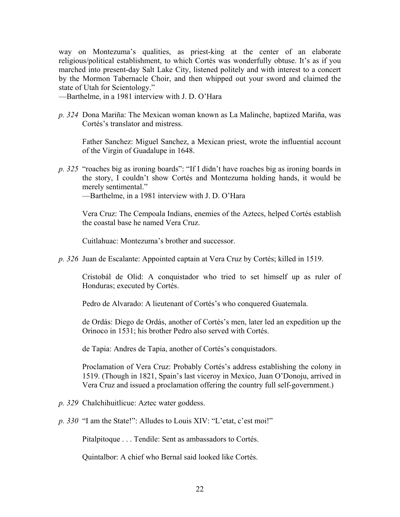way on Montezuma's qualities, as priest-king at the center of an elaborate religious/political establishment, to which Cortés was wonderfully obtuse. It's as if you marched into present-day Salt Lake City, listened politely and with interest to a concert by the Mormon Tabernacle Choir, and then whipped out your sword and claimed the state of Utah for Scientology."

—Barthelme, in a 1981 interview with J. D. O'Hara

*p. 324* Dona Mariña: The Mexican woman known as La Malinche, baptized Mariña, was Cortés's translator and mistress.

Father Sanchez: Miguel Sanchez, a Mexican priest, wrote the influential account of the Virgin of Guadalupe in 1648.

*p. 325* "roaches big as ironing boards": "If I didn't have roaches big as ironing boards in the story, I couldn't show Cortés and Montezuma holding hands, it would be merely sentimental."

—Barthelme, in a 1981 interview with J. D. O'Hara

Vera Cruz: The Cempoala Indians, enemies of the Aztecs, helped Cortés establish the coastal base he named Vera Cruz.

Cuitlahuac: Montezuma's brother and successor.

*p. 326* Juan de Escalante: Appointed captain at Vera Cruz by Cortés; killed in 1519.

Cristobál de Olid: A conquistador who tried to set himself up as ruler of Honduras; executed by Cortés.

Pedro de Alvarado: A lieutenant of Cortés's who conquered Guatemala.

de Ordás: Diego de Ordás, another of Cortés's men, later led an expedition up the Orinoco in 1531; his brother Pedro also served with Cortés.

de Tapia: Andres de Tapia, another of Cortés's conquistadors.

Proclamation of Vera Cruz: Probably Cortés's address establishing the colony in 1519. (Though in 1821, Spain's last viceroy in Mexico, Juan O'Donoju, arrived in Vera Cruz and issued a proclamation offering the country full self-government.)

*p. 329* Chalchihuitlicue: Aztec water goddess.

*p. 330* "I am the State!": Alludes to Louis XIV: "L'etat, c'est moi!"

Pitalpitoque . . . Tendile: Sent as ambassadors to Cortés.

Quintalbor: A chief who Bernal said looked like Cortés.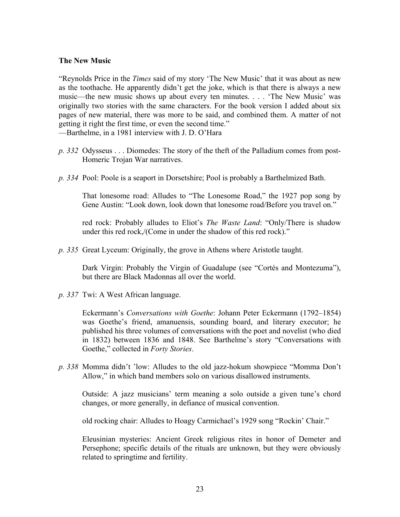## **The New Music**

"Reynolds Price in the *Times* said of my story 'The New Music' that it was about as new as the toothache. He apparently didn't get the joke, which is that there is always a new music—the new music shows up about every ten minutes. . . . 'The New Music' was originally two stories with the same characters. For the book version I added about six pages of new material, there was more to be said, and combined them. A matter of not getting it right the first time, or even the second time."

—Barthelme, in a 1981 interview with J. D. O'Hara

- *p. 332* Odysseus . . . Diomedes: The story of the theft of the Palladium comes from post-Homeric Trojan War narratives.
- *p. 334* Pool: Poole is a seaport in Dorsetshire; Pool is probably a Barthelmized Bath.

That lonesome road: Alludes to "The Lonesome Road," the 1927 pop song by Gene Austin: "Look down, look down that lonesome road/Before you travel on."

red rock: Probably alludes to Eliot's *The Waste Land*: "Only/There is shadow under this red rock,/(Come in under the shadow of this red rock)."

*p. 335* Great Lyceum: Originally, the grove in Athens where Aristotle taught.

Dark Virgin: Probably the Virgin of Guadalupe (see "Cortés and Montezuma"), but there are Black Madonnas all over the world.

*p. 337* Twi: A West African language.

Eckermann's *Conversations with Goethe*: Johann Peter Eckermann (1792–1854) was Goethe's friend, amanuensis, sounding board, and literary executor; he published his three volumes of conversations with the poet and novelist (who died in 1832) between 1836 and 1848. See Barthelme's story "Conversations with Goethe," collected in *Forty Stories*.

*p. 338* Momma didn't 'low: Alludes to the old jazz-hokum showpiece "Momma Don't Allow," in which band members solo on various disallowed instruments.

Outside: A jazz musicians' term meaning a solo outside a given tune's chord changes, or more generally, in defiance of musical convention.

old rocking chair: Alludes to Hoagy Carmichael's 1929 song "Rockin' Chair."

Eleusinian mysteries: Ancient Greek religious rites in honor of Demeter and Persephone; specific details of the rituals are unknown, but they were obviously related to springtime and fertility.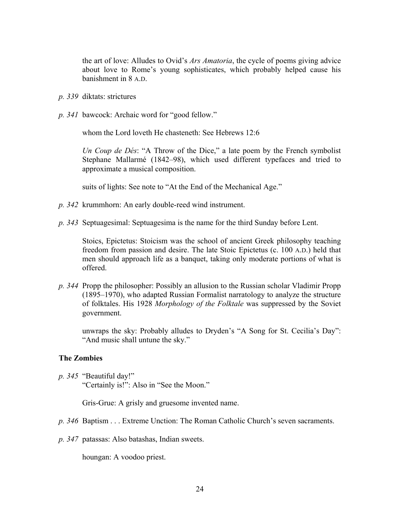the art of love: Alludes to Ovid's *Ars Amatoria*, the cycle of poems giving advice about love to Rome's young sophisticates, which probably helped cause his banishment in 8 A.D.

- *p. 339* diktats: strictures
- *p. 341* bawcock: Archaic word for "good fellow."

whom the Lord loveth He chasteneth: See Hebrews 12:6

*Un Coup de Dés*: "A Throw of the Dice," a late poem by the French symbolist Stephane Mallarmé (1842–98), which used different typefaces and tried to approximate a musical composition.

suits of lights: See note to "At the End of the Mechanical Age."

- *p. 342* krummhorn: An early double-reed wind instrument.
- *p. 343* Septuagesimal: Septuagesima is the name for the third Sunday before Lent.

Stoics, Epictetus: Stoicism was the school of ancient Greek philosophy teaching freedom from passion and desire. The late Stoic Epictetus (c. 100 A.D.) held that men should approach life as a banquet, taking only moderate portions of what is offered.

*p. 344* Propp the philosopher: Possibly an allusion to the Russian scholar Vladimir Propp (1895–1970), who adapted Russian Formalist narratology to analyze the structure of folktales. His 1928 *Morphology of the Folktale* was suppressed by the Soviet government.

unwraps the sky: Probably alludes to Dryden's "A Song for St. Cecilia's Day": "And music shall untune the sky."

#### **The Zombies**

*p. 345* "Beautiful day!" "Certainly is!": Also in "See the Moon."

Gris-Grue: A grisly and gruesome invented name.

- *p. 346* Baptism . . . Extreme Unction: The Roman Catholic Church's seven sacraments.
- *p. 347* patassas: Also batashas, Indian sweets.

houngan: A voodoo priest.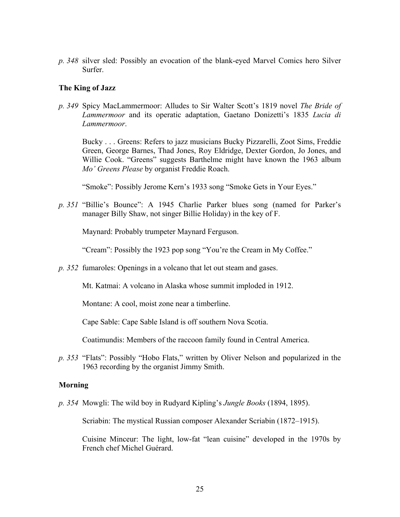*p. 348* silver sled: Possibly an evocation of the blank-eyed Marvel Comics hero Silver Surfer.

### **The King of Jazz**

*p. 349* Spicy MacLammermoor: Alludes to Sir Walter Scott's 1819 novel *The Bride of Lammermoor* and its operatic adaptation, Gaetano Donizetti's 1835 *Lucia di Lammermoor*.

Bucky . . . Greens: Refers to jazz musicians Bucky Pizzarelli, Zoot Sims, Freddie Green, George Barnes, Thad Jones, Roy Eldridge, Dexter Gordon, Jo Jones, and Willie Cook. "Greens" suggests Barthelme might have known the 1963 album *Mo' Greens Please* by organist Freddie Roach.

"Smoke": Possibly Jerome Kern's 1933 song "Smoke Gets in Your Eyes."

*p. 351* "Billie's Bounce": A 1945 Charlie Parker blues song (named for Parker's manager Billy Shaw, not singer Billie Holiday) in the key of F.

Maynard: Probably trumpeter Maynard Ferguson.

"Cream": Possibly the 1923 pop song "You're the Cream in My Coffee."

*p. 352* fumaroles: Openings in a volcano that let out steam and gases.

Mt. Katmai: A volcano in Alaska whose summit imploded in 1912.

Montane: A cool, moist zone near a timberline.

Cape Sable: Cape Sable Island is off southern Nova Scotia.

Coatimundis: Members of the raccoon family found in Central America.

*p. 353* "Flats": Possibly "Hobo Flats," written by Oliver Nelson and popularized in the 1963 recording by the organist Jimmy Smith.

#### **Morning**

*p. 354* Mowgli: The wild boy in Rudyard Kipling's *Jungle Books* (1894, 1895).

Scriabin: The mystical Russian composer Alexander Scriabin (1872–1915).

Cuisine Minceur: The light, low-fat "lean cuisine" developed in the 1970s by French chef Michel Guérard.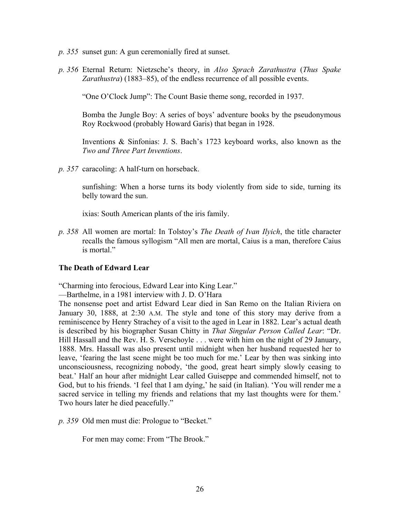- *p. 355* sunset gun: A gun ceremonially fired at sunset.
- *p. 356* Eternal Return: Nietzsche's theory, in *Also Sprach Zarathustra* (*Thus Spake Zarathustra*) (1883–85), of the endless recurrence of all possible events.

"One O'Clock Jump": The Count Basie theme song, recorded in 1937.

Bomba the Jungle Boy: A series of boys' adventure books by the pseudonymous Roy Rockwood (probably Howard Garis) that began in 1928.

Inventions & Sinfonias: J. S. Bach's 1723 keyboard works, also known as the *Two and Three Part Inventions*.

*p. 357* caracoling: A half-turn on horseback.

sunfishing: When a horse turns its body violently from side to side, turning its belly toward the sun.

ixias: South American plants of the iris family.

*p. 358* All women are mortal: In Tolstoy's *The Death of Ivan Ilyich*, the title character recalls the famous syllogism "All men are mortal, Caius is a man, therefore Caius is mortal."

## **The Death of Edward Lear**

"Charming into ferocious, Edward Lear into King Lear."

—Barthelme, in a 1981 interview with J. D. O'Hara

The nonsense poet and artist Edward Lear died in San Remo on the Italian Riviera on January 30, 1888, at 2:30 A.M. The style and tone of this story may derive from a reminiscence by Henry Strachey of a visit to the aged in Lear in 1882. Lear's actual death is described by his biographer Susan Chitty in *That Singular Person Called Lear*: "Dr. Hill Hassall and the Rev. H. S. Verschoyle . . . were with him on the night of 29 January, 1888. Mrs. Hassall was also present until midnight when her husband requested her to leave, 'fearing the last scene might be too much for me.' Lear by then was sinking into unconsciousness, recognizing nobody, 'the good, great heart simply slowly ceasing to beat.' Half an hour after midnight Lear called Guiseppe and commended himself, not to God, but to his friends. 'I feel that I am dying,' he said (in Italian). 'You will render me a sacred service in telling my friends and relations that my last thoughts were for them.' Two hours later he died peacefully."

*p. 359* Old men must die: Prologue to "Becket."

For men may come: From "The Brook."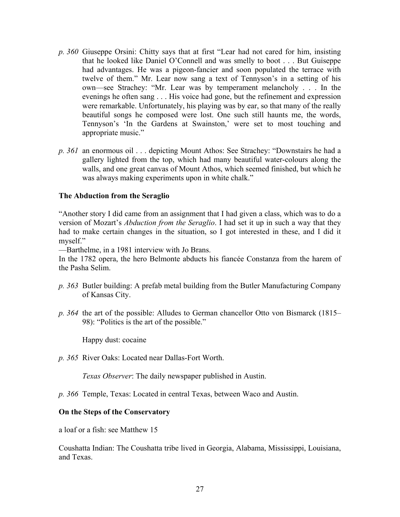- *p. 360* Giuseppe Orsini: Chitty says that at first "Lear had not cared for him, insisting that he looked like Daniel O'Connell and was smelly to boot . . . But Guiseppe had advantages. He was a pigeon-fancier and soon populated the terrace with twelve of them." Mr. Lear now sang a text of Tennyson's in a setting of his own—see Strachey: "Mr. Lear was by temperament melancholy . . . In the evenings he often sang . . . His voice had gone, but the refinement and expression were remarkable. Unfortunately, his playing was by ear, so that many of the really beautiful songs he composed were lost. One such still haunts me, the words, Tennyson's 'In the Gardens at Swainston,' were set to most touching and appropriate music."
- *p. 361* an enormous oil . . . depicting Mount Athos: See Strachey: "Downstairs he had a gallery lighted from the top, which had many beautiful water-colours along the walls, and one great canvas of Mount Athos, which seemed finished, but which he was always making experiments upon in white chalk."

## **The Abduction from the Seraglio**

"Another story I did came from an assignment that I had given a class, which was to do a version of Mozart's *Abduction from the Seraglio*. I had set it up in such a way that they had to make certain changes in the situation, so I got interested in these, and I did it myself."

—Barthelme, in a 1981 interview with Jo Brans.

In the 1782 opera, the hero Belmonte abducts his fiancée Constanza from the harem of the Pasha Selim.

- *p. 363* Butler building: A prefab metal building from the Butler Manufacturing Company of Kansas City.
- *p. 364* the art of the possible: Alludes to German chancellor Otto von Bismarck (1815– 98): "Politics is the art of the possible."

Happy dust: cocaine

*p. 365* River Oaks: Located near Dallas-Fort Worth.

*Texas Observer*: The daily newspaper published in Austin.

*p. 366* Temple, Texas: Located in central Texas, between Waco and Austin.

#### **On the Steps of the Conservatory**

a loaf or a fish: see Matthew 15

Coushatta Indian: The Coushatta tribe lived in Georgia, Alabama, Mississippi, Louisiana, and Texas.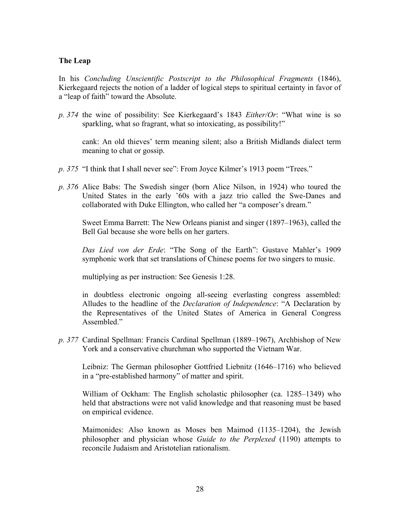## **The Leap**

In his *Concluding Unscientific Postscript to the Philosophical Fragments* (1846), Kierkegaard rejects the notion of a ladder of logical steps to spiritual certainty in favor of a "leap of faith" toward the Absolute.

*p. 374* the wine of possibility: See Kierkegaard's 1843 *Either/Or*: "What wine is so sparkling, what so fragrant, what so intoxicating, as possibility!"

cank: An old thieves' term meaning silent; also a British Midlands dialect term meaning to chat or gossip.

- *p. 375* "I think that I shall never see": From Joyce Kilmer's 1913 poem "Trees."
- *p. 376* Alice Babs: The Swedish singer (born Alice Nilson, in 1924) who toured the United States in the early '60s with a jazz trio called the Swe-Danes and collaborated with Duke Ellington, who called her "a composer's dream."

Sweet Emma Barrett: The New Orleans pianist and singer (1897–1963), called the Bell Gal because she wore bells on her garters.

*Das Lied von der Erde*: "The Song of the Earth": Gustave Mahler's 1909 symphonic work that set translations of Chinese poems for two singers to music.

multiplying as per instruction: See Genesis 1:28.

in doubtless electronic ongoing all-seeing everlasting congress assembled: Alludes to the headline of the *Declaration of Independence*: "A Declaration by the Representatives of the United States of America in General Congress Assembled."

*p. 377* Cardinal Spellman: Francis Cardinal Spellman (1889–1967), Archbishop of New York and a conservative churchman who supported the Vietnam War.

Leibniz: The German philosopher Gottfried Liebnitz (1646–1716) who believed in a "pre-established harmony" of matter and spirit.

William of Ockham: The English scholastic philosopher (ca. 1285–1349) who held that abstractions were not valid knowledge and that reasoning must be based on empirical evidence.

Maimonides: Also known as Moses ben Maimod (1135–1204), the Jewish philosopher and physician whose *Guide to the Perplexed* (1190) attempts to reconcile Judaism and Aristotelian rationalism.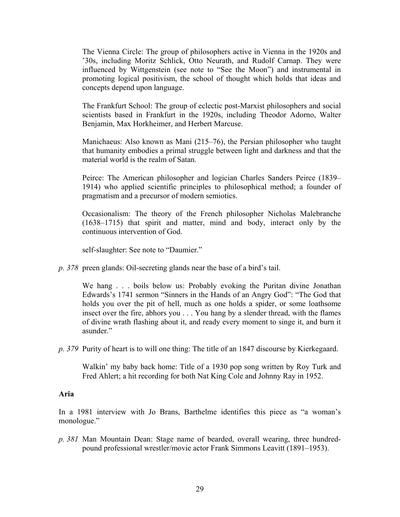The Vienna Circle: The group of philosophers active in Vienna in the 1920s and '30s, including Moritz Schlick, Otto Neurath, and Rudolf Carnap. They were influenced by Wittgenstein (see note to "See the Moon") and instrumental in promoting logical positivism, the school of thought which holds that ideas and concepts depend upon language.

The Frankfurt School: The group of eclectic post-Marxist philosophers and social scientists based in Frankfurt in the 1920s, including Theodor Adorno, Walter Benjamin, Max Horkheimer, and Herbert Marcuse.

Manichaeus: Also known as Mani (215–76), the Persian philosopher who taught that humanity embodies a primal struggle between light and darkness and that the material world is the realm of Satan.

Peirce: The American philosopher and logician Charles Sanders Peirce (1839– 1914) who applied scientific principles to philosophical method; a founder of pragmatism and a precursor of modern semiotics.

Occasionalism: The theory of the French philosopher Nicholas Malebranche (1638–1715) that spirit and matter, mind and body, interact only by the continuous intervention of God.

self-slaughter: See note to "Daumier."

*p. 378* preen glands: Oil-secreting glands near the base of a bird's tail.

We hang  $\ldots$  boils below us: Probably evoking the Puritan divine Jonathan Edwards's 1741 sermon "Sinners in the Hands of an Angry God": "The God that holds you over the pit of hell, much as one holds a spider, or some loathsome insect over the fire, abhors you . . . You hang by a slender thread, with the flames of divine wrath flashing about it, and ready every moment to singe it, and burn it asunder."

*p. 379* Purity of heart is to will one thing: The title of an 1847 discourse by Kierkegaard.

Walkin' my baby back home: Title of a 1930 pop song written by Roy Turk and Fred Ahlert; a hit recording for both Nat King Cole and Johnny Ray in 1952.

#### **Aria**

In a 1981 interview with Jo Brans, Barthelme identifies this piece as "a woman's monologue."

*p. 381* Man Mountain Dean: Stage name of bearded, overall wearing, three hundredpound professional wrestler/movie actor Frank Simmons Leavitt (1891–1953).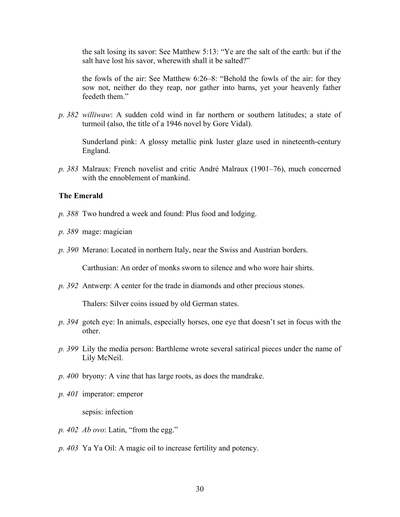the salt losing its savor: See Matthew 5:13: "Ye are the salt of the earth: but if the salt have lost his savor, wherewith shall it be salted?"

the fowls of the air: See Matthew 6:26–8: "Behold the fowls of the air: for they sow not, neither do they reap, nor gather into barns, yet your heavenly father feedeth them."

*p. 382 williwaw*: A sudden cold wind in far northern or southern latitudes; a state of turmoil (also, the title of a 1946 novel by Gore Vidal).

Sunderland pink: A glossy metallic pink luster glaze used in nineteenth-century England.

*p. 383* Malraux: French novelist and critic André Malraux (1901–76), much concerned with the ennoblement of mankind

## **The Emerald**

- *p. 388* Two hundred a week and found: Plus food and lodging.
- *p. 389* mage: magician
- *p. 390* Merano: Located in northern Italy, near the Swiss and Austrian borders.

Carthusian: An order of monks sworn to silence and who wore hair shirts.

*p. 392* Antwerp: A center for the trade in diamonds and other precious stones.

Thalers: Silver coins issued by old German states.

- *p. 394* gotch eye: In animals, especially horses, one eye that doesn't set in focus with the other.
- *p. 399* Lily the media person: Barthleme wrote several satirical pieces under the name of Lily McNeil.
- *p. 400* bryony: A vine that has large roots, as does the mandrake.
- *p. 401* imperator: emperor

sepsis: infection

- *p. 402 Ab ovo*: Latin, "from the egg."
- *p. 403* Ya Ya Oil: A magic oil to increase fertility and potency.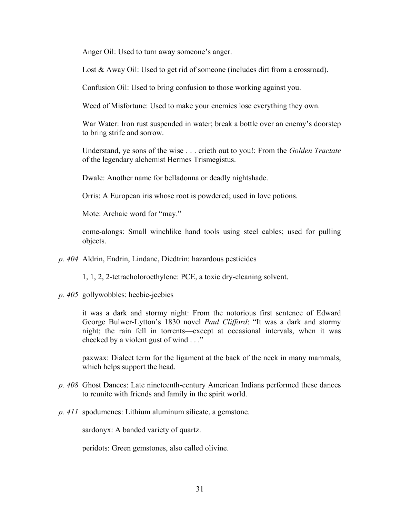Anger Oil: Used to turn away someone's anger.

Lost & Away Oil: Used to get rid of someone (includes dirt from a crossroad).

Confusion Oil: Used to bring confusion to those working against you.

Weed of Misfortune: Used to make your enemies lose everything they own.

War Water: Iron rust suspended in water; break a bottle over an enemy's doorstep to bring strife and sorrow.

Understand, ye sons of the wise . . . crieth out to you!: From the *Golden Tractate* of the legendary alchemist Hermes Trismegistus.

Dwale: Another name for belladonna or deadly nightshade.

Orris: A European iris whose root is powdered; used in love potions.

Mote: Archaic word for "may."

come-alongs: Small winchlike hand tools using steel cables; used for pulling objects.

*p. 404* Aldrin, Endrin, Lindane, Diedtrin: hazardous pesticides

1, 1, 2, 2-tetracholoroethylene: PCE, a toxic dry-cleaning solvent.

*p. 405* gollywobbles: heebie-jeebies

it was a dark and stormy night: From the notorious first sentence of Edward George Bulwer-Lytton's 1830 novel *Paul Clifford*: "It was a dark and stormy night; the rain fell in torrents—except at occasional intervals, when it was checked by a violent gust of wind . . ."

paxwax: Dialect term for the ligament at the back of the neck in many mammals, which helps support the head.

- *p. 408* Ghost Dances: Late nineteenth-century American Indians performed these dances to reunite with friends and family in the spirit world.
- *p. 411* spodumenes: Lithium aluminum silicate, a gemstone.

sardonyx: A banded variety of quartz.

peridots: Green gemstones, also called olivine.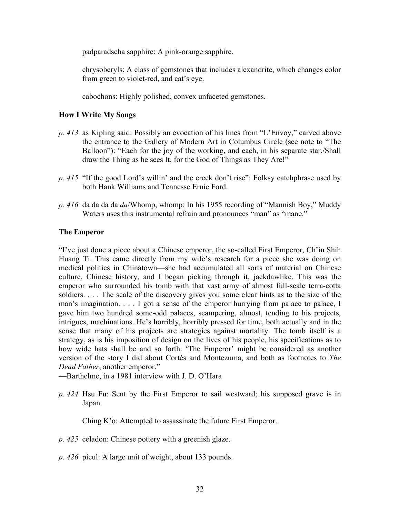padparadscha sapphire: A pink-orange sapphire.

chrysoberyls: A class of gemstones that includes alexandrite, which changes color from green to violet-red, and cat's eye.

cabochons: Highly polished, convex unfaceted gemstones.

# **How I Write My Songs**

- *p. 413* as Kipling said: Possibly an evocation of his lines from "L'Envoy," carved above the entrance to the Gallery of Modern Art in Columbus Circle (see note to "The Balloon"): "Each for the joy of the working, and each, in his separate star,/Shall draw the Thing as he sees It, for the God of Things as They Are!"
- *p. 415* "If the good Lord's willin' and the creek don't rise": Folksy catchphrase used by both Hank Williams and Tennesse Ernie Ford.
- *p. 416* da da da da *da*/Whomp, whomp: In his 1955 recording of "Mannish Boy," Muddy Waters uses this instrumental refrain and pronounces "man" as "mane."

## **The Emperor**

"I've just done a piece about a Chinese emperor, the so-called First Emperor, Ch'in Shih Huang Ti. This came directly from my wife's research for a piece she was doing on medical politics in Chinatown—she had accumulated all sorts of material on Chinese culture, Chinese history, and I began picking through it, jackdawlike. This was the emperor who surrounded his tomb with that vast army of almost full-scale terra-cotta soldiers. . . . The scale of the discovery gives you some clear hints as to the size of the man's imagination. . . . I got a sense of the emperor hurrying from palace to palace, I gave him two hundred some-odd palaces, scampering, almost, tending to his projects, intrigues, machinations. He's horribly, horribly pressed for time, both actually and in the sense that many of his projects are strategies against mortality. The tomb itself is a strategy, as is his imposition of design on the lives of his people, his specifications as to how wide hats shall be and so forth. 'The Emperor' might be considered as another version of the story I did about Cortés and Montezuma, and both as footnotes to *The Dead Father*, another emperor."

—Barthelme, in a 1981 interview with J. D. O'Hara

*p. 424* Hsu Fu: Sent by the First Emperor to sail westward; his supposed grave is in Japan.

Ching K'o: Attempted to assassinate the future First Emperor.

- *p. 425* celadon: Chinese pottery with a greenish glaze.
- *p. 426* picul: A large unit of weight, about 133 pounds.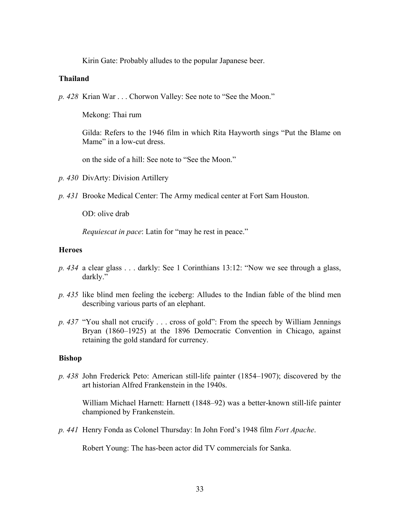Kirin Gate: Probably alludes to the popular Japanese beer.

## **Thailand**

*p. 428* Krian War . . . Chorwon Valley: See note to "See the Moon."

Mekong: Thai rum

Gilda: Refers to the 1946 film in which Rita Hayworth sings "Put the Blame on Mame" in a low-cut dress.

on the side of a hill: See note to "See the Moon."

- *p. 430* DivArty: Division Artillery
- *p. 431* Brooke Medical Center: The Army medical center at Fort Sam Houston.

OD: olive drab

*Requiescat in pace*: Latin for "may he rest in peace."

### **Heroes**

- *p. 434* a clear glass . . . darkly: See 1 Corinthians 13:12: "Now we see through a glass, darkly."
- *p. 435* like blind men feeling the iceberg: Alludes to the Indian fable of the blind men describing various parts of an elephant.
- *p. 437* "You shall not crucify . . . cross of gold": From the speech by William Jennings Bryan (1860–1925) at the 1896 Democratic Convention in Chicago, against retaining the gold standard for currency.

#### **Bishop**

*p. 438* John Frederick Peto: American still-life painter (1854–1907); discovered by the art historian Alfred Frankenstein in the 1940s.

William Michael Harnett: Harnett (1848–92) was a better-known still-life painter championed by Frankenstein.

*p. 441* Henry Fonda as Colonel Thursday: In John Ford's 1948 film *Fort Apache*.

Robert Young: The has-been actor did TV commercials for Sanka.